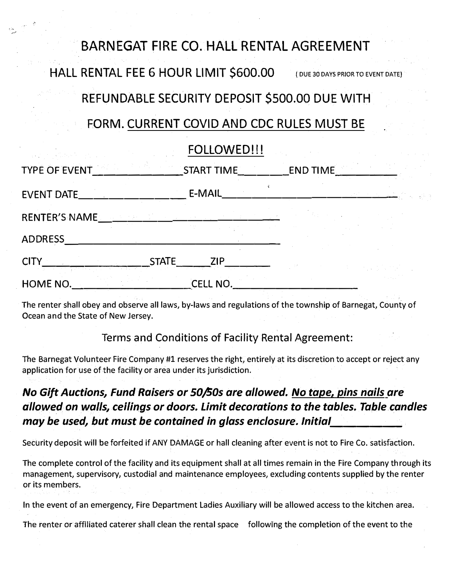# BARNEGAT FIRE CO. HALL RENTAL AGREEMENT

HALL RENTAL FEE 6 HOUR LIMIT \$600.00 ( DUE 30 DAYS PRIOR TO EVENT DATE)

## REFUNDABLE SECURITY DEPOSIT \$500.00 DUE WITH

## FORM. CURRENT COVID AND CDC RULES MUST BE

### FOLLOWED!!!

| TYPE OF EVENT                   |              | START TIME             |  | <b>END TIME</b> |  |  |
|---------------------------------|--------------|------------------------|--|-----------------|--|--|
| EVENT DATE_                     |              | E-MAIL                 |  |                 |  |  |
| RENTER'S NAME _________________ |              |                        |  |                 |  |  |
| <b>ADDRESS</b>                  |              |                        |  |                 |  |  |
| <b>CITY</b><br>HOME NO.         | <b>STATE</b> | <b>ZIP</b><br>CELL NO. |  |                 |  |  |

The renter shall obey and observe all laws, by-laws and regulations of the township of Barnegat, County of Ocean and the State of New Jersey.

### Terms and Conditions of Facility Rental Agreement:

The Barnegat Volunteer Fire Company #1 reserves the right, entirely at its discretion to accept or reject any application for use of the facility or area under its Jurisdiction.

## *No Gift Auctions, Fund Raisers or 50/S0s are allowed. No tape, pins nails are allowed on walls, ceilings or doors. Limit decorations to the tables. Table.candles may be used, but must be contained in glass enclosure. Initial \_\_\_\_\_ \_*

Security deposit will be forfeited if ANY DAMAGE or hall cleaning after event is not to Fire Co. satisfaction.

The complete control of the facility and its equipment shall at all times remain in the Fire Company through its management, supervisory, custodial and maintenance employees, excluding contents supplied by the renter or its members.

In the event of an emergency, Fire Department Ladies Auxiliary will be allowed access to the kitchen area.

The renter or affiliated caterer shall clean the rental space following the completion of the event to the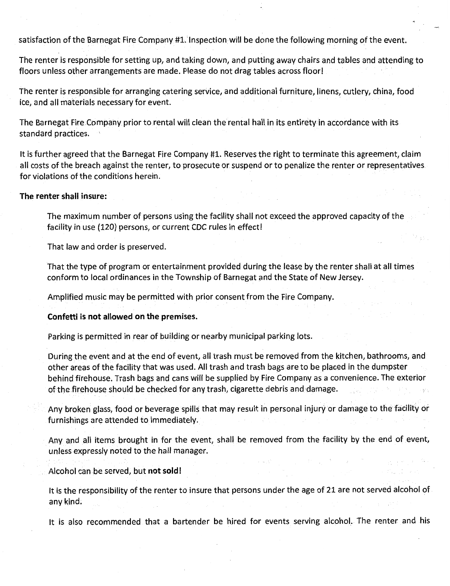satisfaction of the Barnegat Fire Company #l. Inspection will be done the following morning of the event.

The renter is responsible for setting up, and taking down, and putting away chairs and tables and attending to floors unless other arrangements are made. Please do not drag tables across floor!

The renter is responsible for arranging catering service, and additional furniture, linens, cutlery, china, food ice, and all materials necessary for event.

The Barnegat Fire Company prior to rental will clean the rental hall in its entirety in accordance with its standard practices. '

It is further agreed that the Barnegat Fire Company #1. Reserves the right to terminate this agreement, claim all costs of the breach against the renter, to prosecute or suspend or to penalize the renter or representatives. for violations of the conditions herein.

#### **The renter shall insure:**

The maximum number of persons using the facility shall not exceed the approved capacity of the facility in use {120) persons, or current CDC rules in effect!

That law and order is preserved.

That the type of program or entertainment provided during the lease by the renter shall at all times conform *to* local ordinances in the Township of Barnegat and the State of New Jersey.

Amplified music may be permitted with prior consent from the Fire Company.

#### **Confetti is not allowed on the premises.**

Parking is permitted in rear of building or nearby municipal parking lots.

During the event and at the end of event, all trash must be removed from the kitchen, bathrooms, and other areas of the facility that was used. All trash and trash bags are to be placed in the dumpster behind firehouse. Trash bags and cans will be supplied by Fire Company as a convenience. The exterior ofthe firehouse should be checked for any trash, cigarette debris and damage.

Any broken glass, food or beverage spills that may result in personal injury or damage to the facility or furnishings are attended to immediately.

Any and all items brought in for the event, shall be removed from the facility by the end of event, unless expressly noted to the hall manager.

Alcohol can be served, but **not sold** I

It is the responsibility of the renter to insure that persons under the age of 21 are not served alcohol of any kind.

It is also recommended that a bartender be hired for events serving alcohol. The renter and his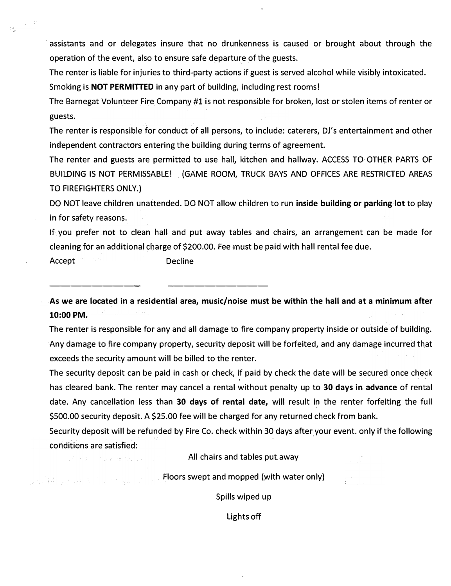assistants and or delegates insure that no drunkenness is caused or brought about through the operation of the event, also to ensure safe departure of the guests.

The renter is liable for injuries to third-party actions if guest is served alcohol while visibly intoxicated.

Smoking is **NOT PERMITTED** in any part of building, including rest rooms I

The Barnegat Volunteer Fire Company #1 is not responsible for broken, lost orstolen items of renter or guests.

The renter is responsible for conduct of all persons, to include: caterers, DJ's entertainment and other independent contractors entering the building during terms of agreement.

The renter and guests are permitted to use hall, kitchen and hallway. ACCESS TO OTHER PARTS OF BUILDING IS NOT PERMISSABLE! (GAME ROOM, TRUCK BAYS AND OFFICES ARE RESTRICTED AREAS TO FIREFIGHTERS ONLY.)

DO NOT leave children unattended. DO NOT allow children to run **inside building or parking lot** to play in for safety reasons.

If you prefer not to clean hall and put away tables and chairs, an arrangement can be made for cleaning for an additional charge of \$200.00. Fee must be paid with hall rental fee due.

Accept **Decline** 

 $\mathcal{A}^{\mathcal{A}} \rightarrow \mathcal{A}^{\mathcal{A}} \rightarrow \mathcal{A}^{\mathcal{A}} \mathcal{A}^{\mathcal{A}} \rightarrow \mathcal{A}^{\mathcal{A}} \mathcal{A}^{\mathcal{A}} \rightarrow \mathcal{A}^{\mathcal{A}}$ 

그 사람은 우리 그의 회사를 보고 말했다.

--------- ----------

**As we are located in a residential area, music/noise must be within the hall and at a minimum after 10:00 PM.**

The renter is responsible for any and all damage to fire company property inside or outside of building. Any damage to fire company property, security deposit will be forfeited, and any damage incurred that exceeds the security amount will be billed to the renter.

The security deposit can be paid in cash or check, if paid by check the date will be secured once check has cleared bank. The renter may cancel a rental without penalty up to **30 days in advance** of rental date. Any cancellation less than **30 days of rental date,** will result in the renter forfeiting the full \$500.00 security deposit. A \$25.00 fee will be charged for any returned check from bank.

Security deposit will be refunded by Fire Co. check within 30 days after your event. only if the following conditions are satisfied:

All chairs and tables put away

Floors swept and mopped (with water only)

Spills wiped up

Lights off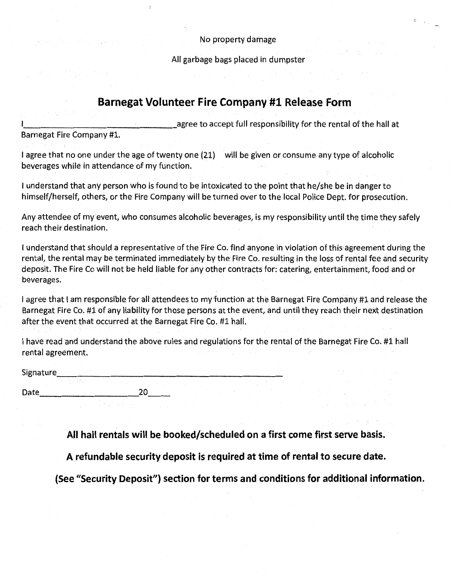No property damage

All garbage bags placed in dumpster

### **Barnegat Volunteer Fire Company #1 Release Form**

agree to accept full responsibility for the rental of the hall at Barnegat Fire Company #1.

I agree that no one under the age of twenty one (21) will be given or consume any type of alcoholic beverages while in attendance of my function.

I understand that any person who is found to be intoxicated to the point that he/she be in danger to himself/herself, others, or the Fire Company will be turned over to the local Police Dept. for prosecution.

Any attendee of my event, who consumes alcoholic beverages, is my responsibility until the time they safely reach their destination.

I understand that should a representative of the Fire Co. find anyone in violation of this agreement during the rental, the rental may be terminated immediately by the Fire Co. resulting in the loss of rental fee and security deposit. The Fire Co will not be held liable for any other contracts for: catering, entertainment, food and or beverages.

I agree that I am responsible for all attendees to my function at the Barnegat Fire Company #1 and release the Barnegat Fire Co. #1 of any liability for those persons at the event, and until they reach their next destination after the event that occurred at the Barnegat Fire Co. #1 hall.

I have read and understand the above rules and regulations for the rental of the Barnegat Fire Co. #1 hall rental agreement.

extending the state of the state of the state of the state of the state of the state of the state of the state of the state of the state of the state of the state of the state of the state of the state of the state of the Date \_\_\_\_\_\_\_\_\_ 20 \_\_

**All hall rentals will be booked/scheduled on a first come first serve basis.** 

**A refundable security deposit is required at time of rental to secure date.** 

**(See "Security Deposit") section for terms and conditions for additional information.**